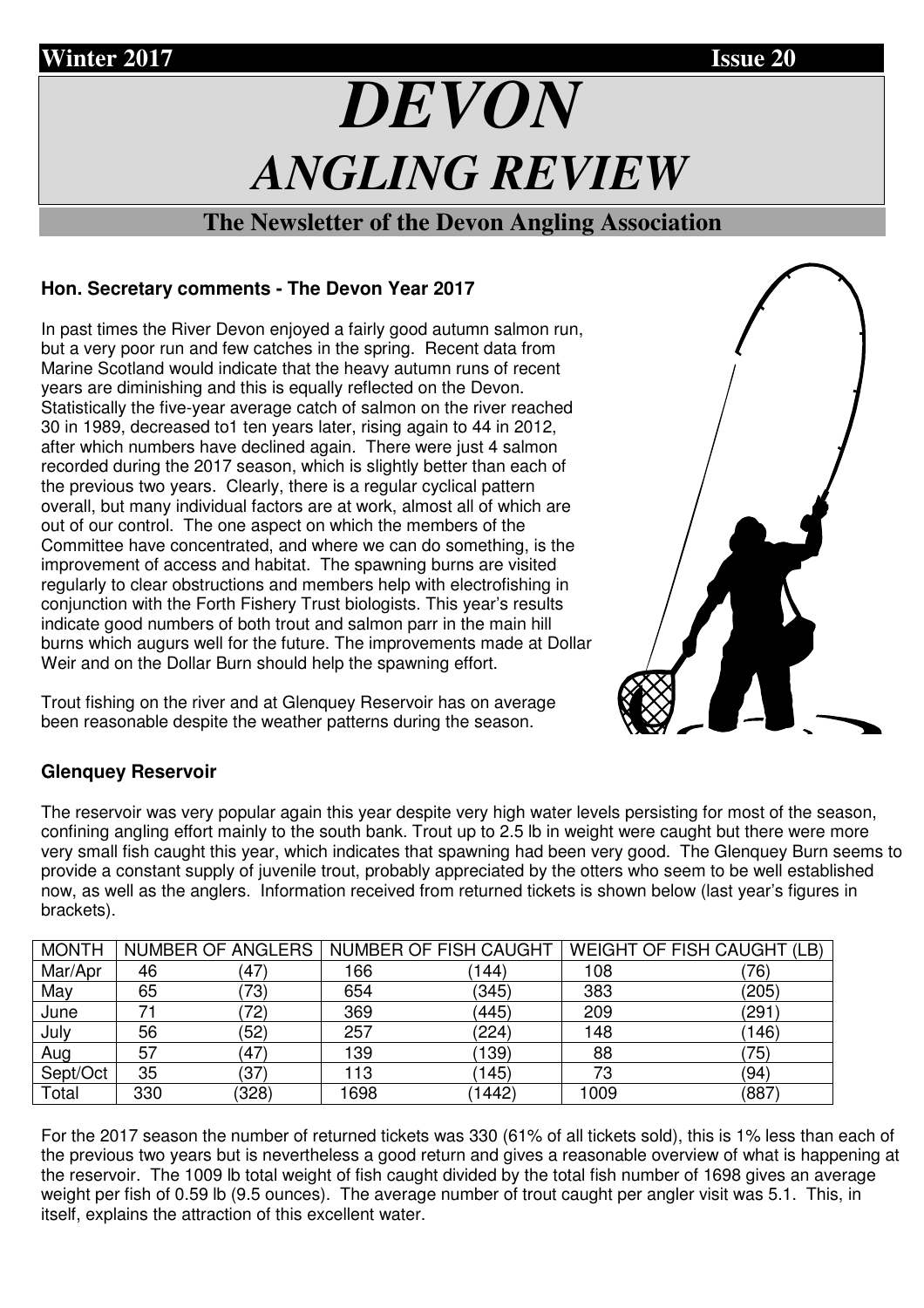

## **The Newsletter of the Devon Angling Association**

# **Hon. Secretary comments - The Devon Year 2017**

In past times the River Devon enjoyed a fairly good autumn salmon run, but a very poor run and few catches in the spring. Recent data from Marine Scotland would indicate that the heavy autumn runs of recent years are diminishing and this is equally reflected on the Devon. Statistically the five-year average catch of salmon on the river reached 30 in 1989, decreased to1 ten years later, rising again to 44 in 2012, after which numbers have declined again. There were just 4 salmon recorded during the 2017 season, which is slightly better than each of the previous two years. Clearly, there is a regular cyclical pattern overall, but many individual factors are at work, almost all of which are out of our control. The one aspect on which the members of the Committee have concentrated, and where we can do something, is the improvement of access and habitat. The spawning burns are visited regularly to clear obstructions and members help with electrofishing in conjunction with the Forth Fishery Trust biologists. This year's results indicate good numbers of both trout and salmon parr in the main hill burns which augurs well for the future. The improvements made at Dollar Weir and on the Dollar Burn should help the spawning effort.

Trout fishing on the river and at Glenquey Reservoir has on average been reasonable despite the weather patterns during the season.

# **Glenquey Reservoir**

The reservoir was very popular again this year despite very high water levels persisting for most of the season, confining angling effort mainly to the south bank. Trout up to 2.5 lb in weight were caught but there were more very small fish caught this year, which indicates that spawning had been very good. The Glenquey Burn seems to provide a constant supply of juvenile trout, probably appreciated by the otters who seem to be well established now, as well as the anglers. Information received from returned tickets is shown below (last year's figures in brackets).

| <b>MONTH</b> |     | NUMBER OF ANGLERS |      | NUMBER OF FISH CAUGHT |      | <b>WEIGHT OF FISH CAUGHT (LB)</b> |
|--------------|-----|-------------------|------|-----------------------|------|-----------------------------------|
| Mar/Apr      | 46  | (47)              | 166  | 144)                  | 108  | 76)                               |
| May          | 65  | (73)              | 654  | (345)                 | 383  | (205)                             |
| June         | 71  | 72)               | 369  | (445)                 | 209  | '291                              |
| July         | 56  | (52)              | 257  | (224)                 | 148  | (146)                             |
| Aug          | 57  | (47)              | 139  | (139)                 | 88   | 75)                               |
| Sept/Oct     | 35  | (37)              | 113  | (145)                 | 73   | (94)                              |
| Total        | 330 | (328)             | 1698 | (1442)                | 1009 | (887                              |

For the 2017 season the number of returned tickets was 330 (61% of all tickets sold), this is 1% less than each of the previous two years but is nevertheless a good return and gives a reasonable overview of what is happening at the reservoir. The 1009 lb total weight of fish caught divided by the total fish number of 1698 gives an average weight per fish of 0.59 lb (9.5 ounces). The average number of trout caught per angler visit was 5.1. This, in itself, explains the attraction of this excellent water.